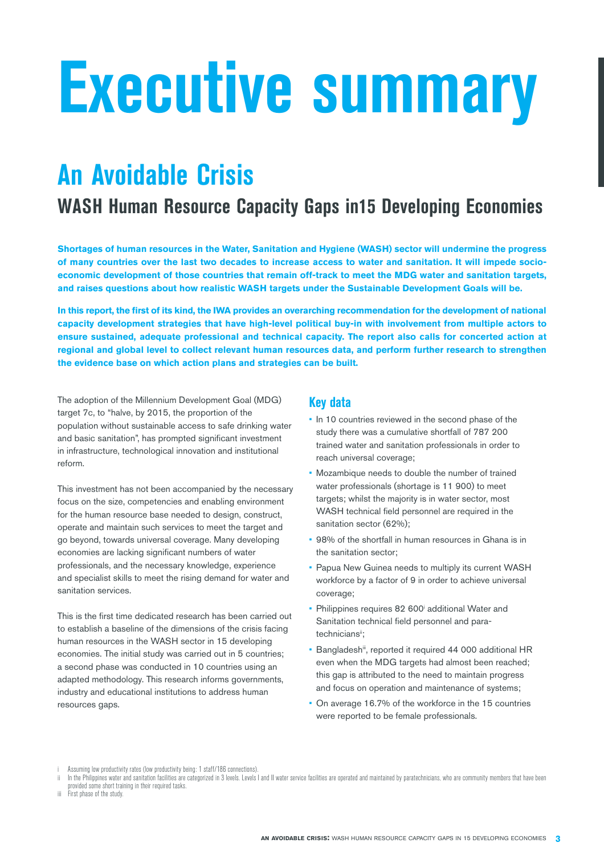# **Executive summary**

### **An Avoidable Crisis**

### **WASH Human Resource Capacity Gaps in15 Developing Economies**

**Shortages of human resources in the Water, Sanitation and Hygiene (WASH) sector will undermine the progress of many countries over the last two decades to increase access to water and sanitation. It will impede socioeconomic development of those countries that remain off-track to meet the MDG water and sanitation targets, and raises questions about how realistic WASH targets under the Sustainable Development Goals will be.**

**In this report, the first of its kind, the IWA provides an overarching recommendation for the development of national capacity development strategies that have high-level political buy-in with involvement from multiple actors to ensure sustained, adequate professional and technical capacity. The report also calls for concerted action at regional and global level to collect relevant human resources data, and perform further research to strengthen the evidence base on which action plans and strategies can be built.**

The adoption of the Millennium Development Goal (MDG) target 7c, to "halve, by 2015, the proportion of the population without sustainable access to safe drinking water and basic sanitation", has prompted significant investment in infrastructure, technological innovation and institutional reform.

This investment has not been accompanied by the necessary focus on the size, competencies and enabling environment for the human resource base needed to design, construct, operate and maintain such services to meet the target and go beyond, towards universal coverage. Many developing economies are lacking significant numbers of water professionals, and the necessary knowledge, experience and specialist skills to meet the rising demand for water and sanitation services.

This is the first time dedicated research has been carried out to establish a baseline of the dimensions of the crisis facing human resources in the WASH sector in 15 developing economies. The initial study was carried out in 5 countries; a second phase was conducted in 10 countries using an adapted methodology. This research informs governments, industry and educational institutions to address human resources gaps.

### **Key data**

- In 10 countries reviewed in the second phase of the study there was a cumulative shortfall of 787 200 trained water and sanitation professionals in order to reach universal coverage;
- Mozambique needs to double the number of trained water professionals (shortage is 11 900) to meet targets; whilst the majority is in water sector, most WASH technical field personnel are required in the sanitation sector (62%);
- **98%** of the shortfall in human resources in Ghana is in the sanitation sector;
- **Papua New Guinea needs to multiply its current WASH** workforce by a factor of 9 in order to achieve universal coverage;
- Philippines requires 82 600 additional Water and Sanitation technical field personnel and paratechniciansii;
- **Bangladeshii**, reported it required 44 000 additional HR even when the MDG targets had almost been reached; this gap is attributed to the need to maintain progress and focus on operation and maintenance of systems;
- On average 16.7% of the workforce in the 15 countries were reported to be female professionals.

Assuming low productivity rates (low productivity being: 1 staff/186 connections).

In the Philippines water and sanitation facilities are categorized in 3 levels. Levels I and II water service facilities are operated and maintained by paratechnicians, who are community members that have been provided some short training in their required tasks. iii First phase of the study.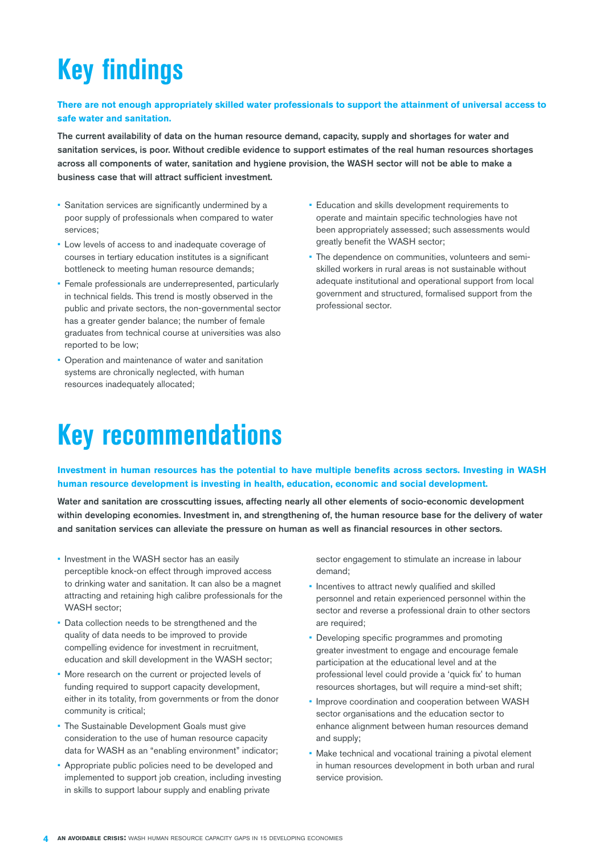## **Key findings**

#### **There are not enough appropriately skilled water professionals to support the attainment of universal access to safe water and sanitation.**

The current availability of data on the human resource demand, capacity, supply and shortages for water and sanitation services, is poor. Without credible evidence to support estimates of the real human resources shortages across all components of water, sanitation and hygiene provision, the WASH sector will not be able to make a business case that will attract sufficient investment.

- **Sanitation services are significantly undermined by a** poor supply of professionals when compared to water services;
- Low levels of access to and inadequate coverage of courses in tertiary education institutes is a significant bottleneck to meeting human resource demands;
- Female professionals are underrepresented, particularly in technical fields. This trend is mostly observed in the public and private sectors, the non-governmental sector has a greater gender balance; the number of female graduates from technical course at universities was also reported to be low;
- Operation and maintenance of water and sanitation systems are chronically neglected, with human resources inadequately allocated;
- **Education and skills development requirements to** operate and maintain specific technologies have not been appropriately assessed; such assessments would greatly benefit the WASH sector;
- The dependence on communities, volunteers and semiskilled workers in rural areas is not sustainable without adequate institutional and operational support from local government and structured, formalised support from the professional sector.

### **Key recommendations**

#### **Investment in human resources has the potential to have multiple benefits across sectors. Investing in WASH human resource development is investing in health, education, economic and social development.**

Water and sanitation are crosscutting issues, affecting nearly all other elements of socio-economic development within developing economies. Investment in, and strengthening of, the human resource base for the delivery of water and sanitation services can alleviate the pressure on human as well as financial resources in other sectors.

- **.** Investment in the WASH sector has an easily perceptible knock-on effect through improved access to drinking water and sanitation. It can also be a magnet attracting and retaining high calibre professionals for the WASH sector:
- Data collection needs to be strengthened and the quality of data needs to be improved to provide compelling evidence for investment in recruitment, education and skill development in the WASH sector;
- More research on the current or projected levels of funding required to support capacity development, either in its totality, from governments or from the donor community is critical;
- **The Sustainable Development Goals must give** consideration to the use of human resource capacity data for WASH as an "enabling environment" indicator;
- Appropriate public policies need to be developed and implemented to support job creation, including investing in skills to support labour supply and enabling private

sector engagement to stimulate an increase in labour demand;

- Incentives to attract newly qualified and skilled personnel and retain experienced personnel within the sector and reverse a professional drain to other sectors are required;
- Developing specific programmes and promoting greater investment to engage and encourage female participation at the educational level and at the professional level could provide a 'quick fix' to human resources shortages, but will require a mind-set shift;
- **.** Improve coordination and cooperation between WASH sector organisations and the education sector to enhance alignment between human resources demand and supply;
- Make technical and vocational training a pivotal element in human resources development in both urban and rural service provision.